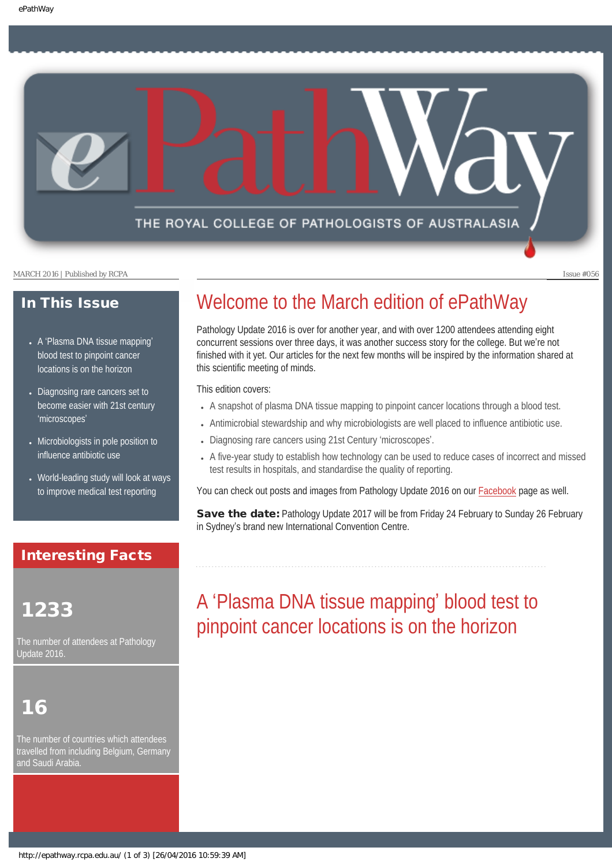## THE ROYAL COLLEGE OF PATHOLOGISTS OF AUSTRALASIA

MARCH 2016 | Published by RCPA Issue #056

### In This Issue

- A '[Plasma DNA tissue mapping](#page-0-0)' [blood test to pinpoint cancer](#page-0-0)  [locations is on the horizon](#page-0-0)
- [Diagnosing rare cancers set to](#page-1-0) [become easier with 21st century](#page-1-0)  '[microscopes](#page-1-0)'
- [Microbiologists in pole position to](#page-2-0) [influence antibiotic use](#page-2-0)
- World-leading study will look at ways [to improve medical test reporting](#page-2-1)

## Interesting Facts

## <span id="page-0-0"></span>1233

The number of attendees at Pathology Update 2016.

# 16

The number of countries which attendees travelled from including Belgium, Germany and Saudi Arabia.

## Welcome to the March edition of ePathWay

Pathology Update 2016 is over for another year, and with over 1200 attendees attending eight concurrent sessions over three days, it was another success story for the college. But we're not finished with it yet. Our articles for the next few months will be inspired by the information shared at this scientific meeting of minds.

This edition covers:

- A snapshot of plasma DNA tissue mapping to pinpoint cancer locations through a blood test.
- Antimicrobial stewardship and why microbiologists are well placed to influence antibiotic use.
- Diagnosing rare cancers using 21st Century 'microscopes'.
- A five-year study to establish how technology can be used to reduce cases of incorrect and missed test results in hospitals, and standardise the quality of reporting.

You can check out posts and images from Pathology Update 2016 on our [Facebook](https://www.facebook.com/TheRoyalCollegeOfPathologistsOfAustralasia/) page as well.

Save the date: Pathology Update 2017 will be from Friday 24 February to Sunday 26 February in Sydney's brand new International Convention Centre.

# A 'Plasma DNA tissue mapping' blood test to pinpoint cancer locations is on the horizon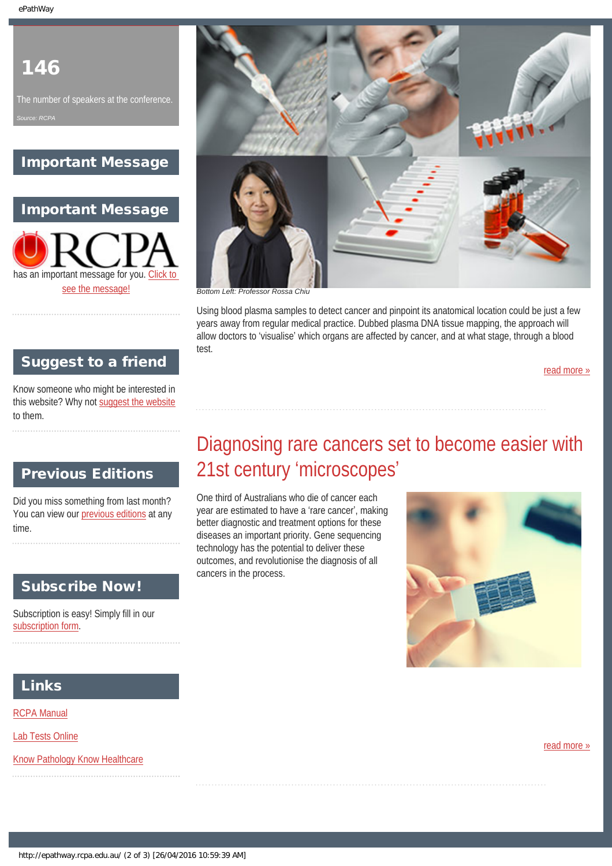## 146

The number of speakers at the conference.

## Important Message

Important Message has an important message for you. [Click to](#page-3-0)  [see the message!](#page-3-0)

## Suggest to a friend

Know someone who might be interested in this website? Why not [suggest the website](mailto:?Subject=I%20think%20you%20should%20read%20this%20Newsletter=
http://epathway.rcpa.edu.au/index.html) to them.

## <span id="page-1-0"></span>Previous Editions

Did you miss something from last month? You can view our [previous editions](#page-4-0) at any time.

## Subscribe Now!

Subscription is easy! Simply fill in our [subscription form](#page-6-0).

# Diagnosing rare cancers set to become easier with 21st century 'microscopes'

One third of Australians who die of cancer each year are estimated to have a 'rare cancer', making better diagnostic and treatment options for these diseases an important priority. Gene sequencing technology has the potential to deliver these outcomes, and revolutionise the diagnosis of all cancers in the process.



## Links

[RCPA Manual](http://rcpamanual.edu.au/)

[Lab Tests Online](http://www.labtestsonline.org.au/)

[Know Pathology Know Healthcare](http://knowpathology.com.au/)

[read more »](#page-9-0)



Using blood plasma samples to detect cancer and pinpoint its anatomical location could be just a few years away from regular medical practice. Dubbed plasma DNA tissue mapping, the approach will allow doctors to 'visualise' which organs are affected by cancer, and at what stage, through a blood test.

[read more »](#page-7-0)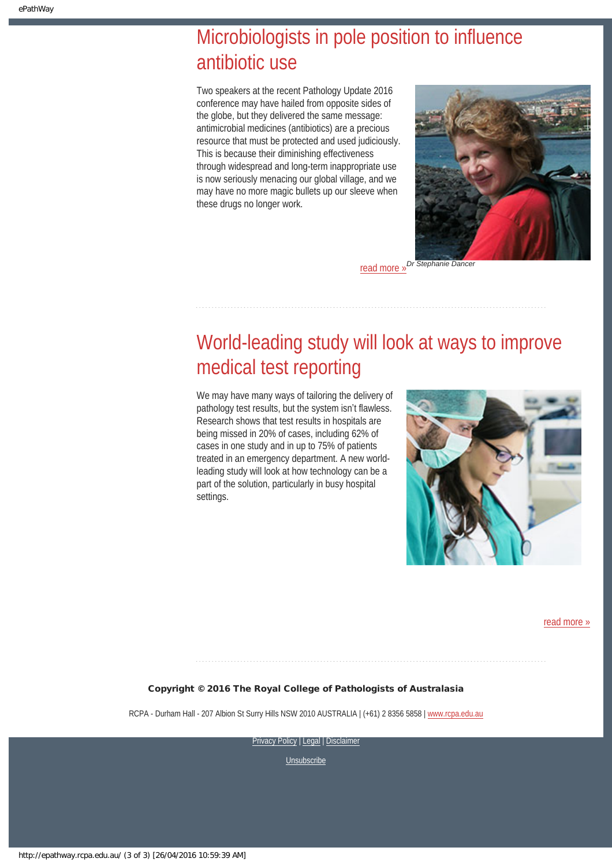# <span id="page-2-0"></span>Microbiologists in pole position to influence antibiotic use

Two speakers at the recent Pathology Update 2016 conference may have hailed from opposite sides of the globe, but they delivered the same message: antimicrobial medicines (antibiotics) are a precious resource that must be protected and used judiciously. This is because their diminishing effectiveness through widespread and long-term inappropriate use is now seriously menacing our global village, and we may have no more magic bullets up our sleeve when these drugs no longer work.



**Dr Stephanie Dance** [read more »](#page-11-0)

# <span id="page-2-1"></span>World-leading study will look at ways to improve medical test reporting

We may have many ways of tailoring the delivery of pathology test results, but the system isn't flawless. Research shows that test results in hospitals are being missed in 20% of cases, including 62% of cases in one study and in up to 75% of patients treated in an emergency department. A new worldleading study will look at how technology can be a part of the solution, particularly in busy hospital settings.



[read more »](#page-13-0)

#### Copyright © 2016 The Royal College of Pathologists of Australasia

RCPA - Durham Hall - 207 Albion St Surry Hills NSW 2010 AUSTRALIA | (+61) 2 8356 5858 | [www.rcpa.edu.au](https://www.rcpa.edu.au/)

[Privacy Policy](https://www.rcpa.edu.au/Privacy-Policy.aspx) | [Legal](https://www.rcpa.edu.au/Legal.aspx) | [Disclaimer](https://www.rcpa.edu.au/Disclaimer.aspx)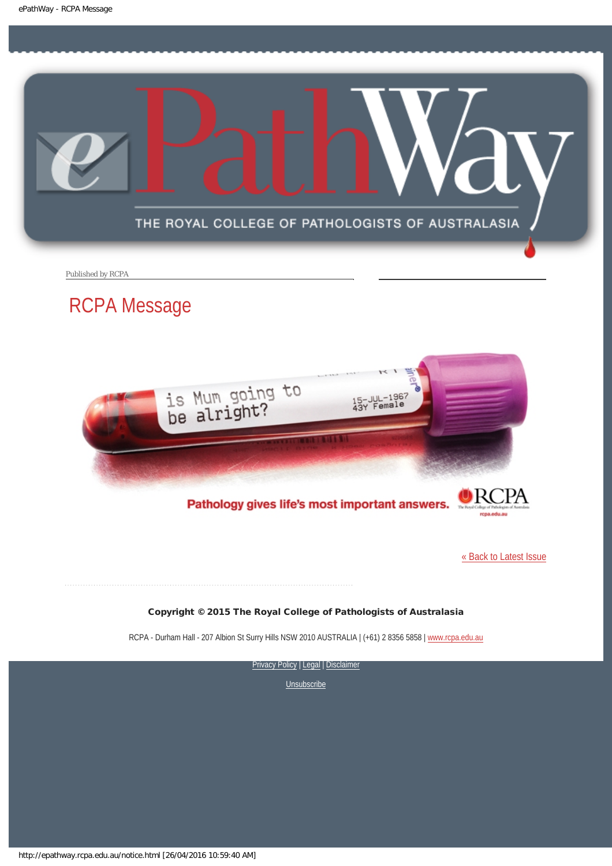<span id="page-3-0"></span>

Published by RCPA

## RCPA Message



Pathology gives life's most important answers.

[« Back to Latest Issue](http://epathway.rcpa.edu.au/index.html)

#### Copyright © 2015 The Royal College of Pathologists of Australasia

RCPA - Durham Hall - 207 Albion St Surry Hills NSW 2010 AUSTRALIA | (+61) 2 8356 5858 | [www.rcpa.edu.au](https://www.rcpa.edu.au/)

[Privacy Policy](https://www.rcpa.edu.au/Content-Library/Privacy.aspx) | [Legal](https://www.rcpa.edu.au/Legal.aspx) | Disclaimer

**[Unsubscribe](#page-6-0)** 

http://epathway.rcpa.edu.au/notice.html [26/04/2016 10:59:40 AM]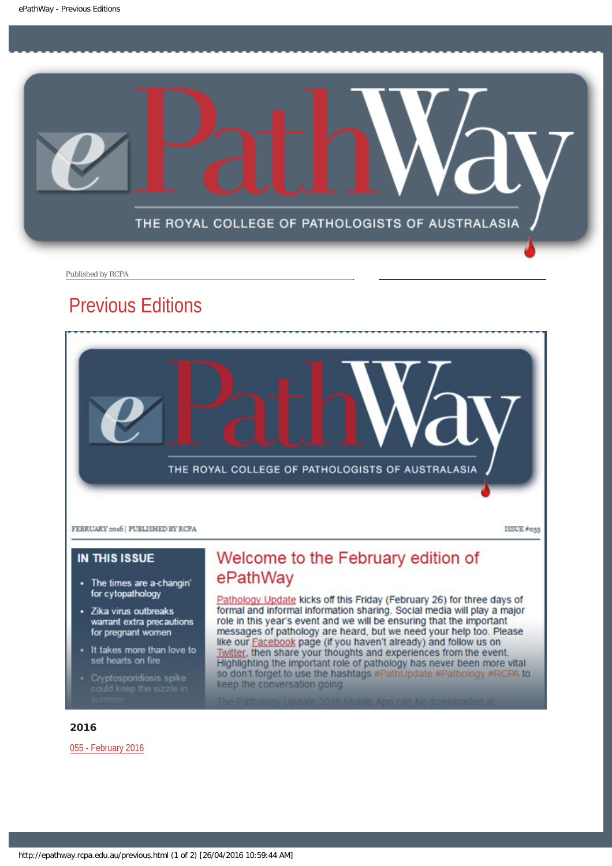<span id="page-4-0"></span>

Published by RCPA

## Previous Editions



#### **IN THIS ISSUE**

- The times are a-changin' for cytopathology
- Zika virus outbreaks warrant extra precautions for pregnant women
- It takes more than love to set hearts on fire
- 

## Welcome to the February edition of ePathWay

Pathology Update kicks off this Friday (February 26) for three days of formal and informal information sharing. Social media will play a major role in this year's event and we will be ensuring that the important messages of pathology are heard, but we need your help too. Please like our Facebook page (if you haven't already) and follow us on Twitter, then share your thoughts and experiences from the event.<br>Highlighting the important role of pathology has never been more vital so don't forget to use the hashtags #PathUpdate #Pathology #RCPA to keep the conversation going.

#### 2016

[055 - February 2016](http://epathway.rcpa.edu.au/previous/055_0216.pdf)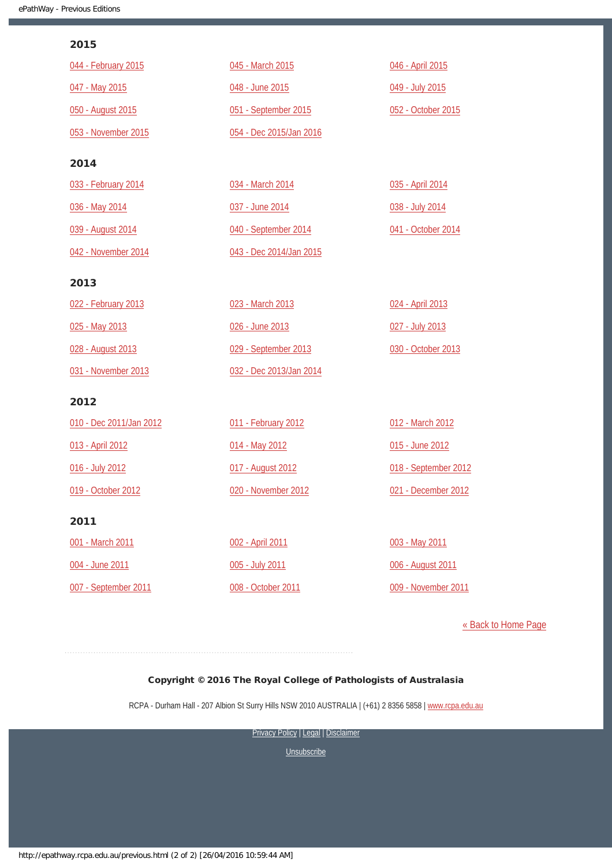#### 2015

| 044 - February 2015     | 045 - March 2015        | 046 - April 2015     |
|-------------------------|-------------------------|----------------------|
| 047 - May 2015          | 048 - June 2015         | 049 - July 2015      |
| 050 - August 2015       | 051 - September 2015    | 052 - October 2015   |
| 053 - November 2015     | 054 - Dec 2015/Jan 2016 |                      |
| 2014                    |                         |                      |
| 033 - February 2014     | 034 - March 2014        | 035 - April 2014     |
| 036 - May 2014          | 037 - June 2014         | 038 - July 2014      |
| 039 - August 2014       | 040 - September 2014    | 041 - October 2014   |
| 042 - November 2014     | 043 - Dec 2014/Jan 2015 |                      |
| 2013                    |                         |                      |
| 022 - February 2013     | 023 - March 2013        | 024 - April 2013     |
| 025 - May 2013          | 026 - June 2013         | 027 - July 2013      |
| 028 - August 2013       | 029 - September 2013    | 030 - October 2013   |
| 031 - November 2013     | 032 - Dec 2013/Jan 2014 |                      |
| 2012                    |                         |                      |
| 010 - Dec 2011/Jan 2012 | 011 - February 2012     | 012 - March 2012     |
| 013 - April 2012        | 014 - May 2012          | 015 - June 2012      |
| 016 - July 2012         | 017 - August 2012       | 018 - September 2012 |
| 019 - October 2012      | 020 - November 2012     | 021 - December 2012  |
| 2011                    |                         |                      |
| 001 - March 2011        | 002 - April 2011        | 003 - May 2011       |
| 004 - June 2011         | 005 - July 2011         | 006 - August 2011    |
| 007 - September 2011    | 008 - October 2011      | 009 - November 2011  |

[« Back to Home Page](http://epathway.rcpa.edu.au/index.html)

#### Copyright © 2016 The Royal College of Pathologists of Australasia

RCPA - Durham Hall - 207 Albion St Surry Hills NSW 2010 AUSTRALIA | (+61) 2 8356 5858 | [www.rcpa.edu.au](https://www.rcpa.edu.au/)

[Privacy Policy](https://www.rcpa.edu.au/Content-Library/Privacy.aspx) | [Legal](https://www.rcpa.edu.au/Legal.aspx) | Disclaimer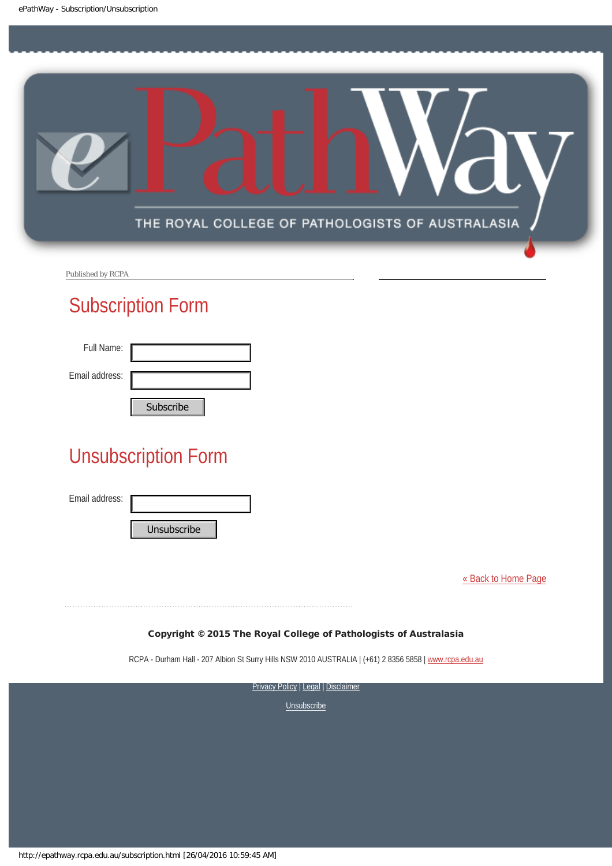<span id="page-6-0"></span>

Published by RCPA

## Subscription Form

| Full Name:     |           |
|----------------|-----------|
| Email address: |           |
|                | Cubccribo |

# Unsubscription Form Subscribe<br>
Unsubscription Form<br>
Email address:<br>
Unsubscribe<br>
Copyright © 2015 The Roya<br>
RCPA - Durham Hall - 207 Albion SI Surry Hill:<br>
Privacy<br>
Privacy<br>
Privacy<br>
Nuttp://epathway.rcpa.edu.au/subscription.html [26/04/2016

Email address:

[« Back to Home Page](http://epathway.rcpa.edu.au/index.html)

#### Copyright © 2015 The Royal College of Pathologists of Australasia

RCPA - Durham Hall - 207 Albion St Surry Hills NSW 2010 AUSTRALIA | (+61) 2 8356 5858 | [www.rcpa.edu.au](http://www.rcpa.edu.au/)

**[Privacy Policy](http://www.rcpa.edu.au/Content-Library/Privacy.aspx) | [Legal](http://www.rcpa.edu.au/Legal.aspx) | Disclaimer**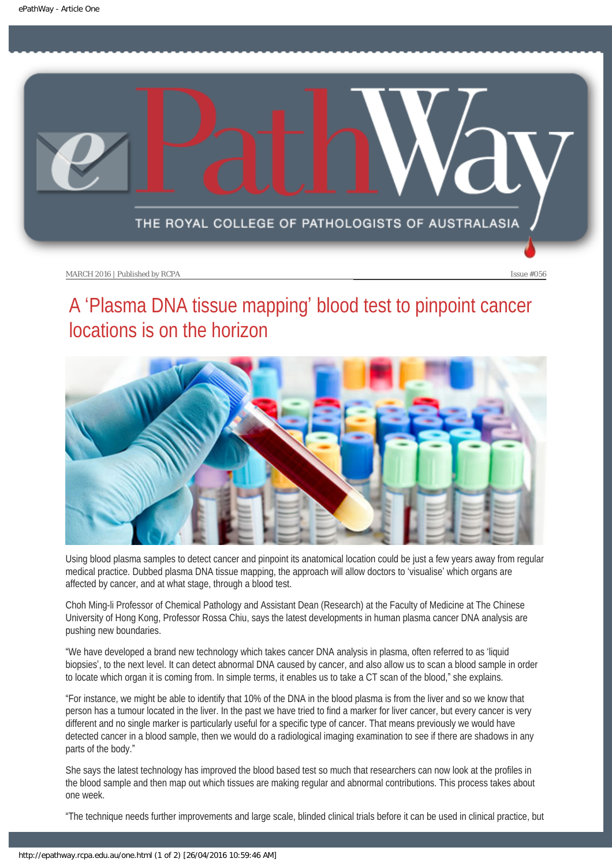<span id="page-7-0"></span>

# A 'Plasma DNA tissue mapping' blood test to pinpoint cancer locations is on the horizon



Using blood plasma samples to detect cancer and pinpoint its anatomical location could be just a few years away from regular medical practice. Dubbed plasma DNA tissue mapping, the approach will allow doctors to 'visualise' which organs are affected by cancer, and at what stage, through a blood test.

Choh Ming-li Professor of Chemical Pathology and Assistant Dean (Research) at the Faculty of Medicine at The Chinese University of Hong Kong, Professor Rossa Chiu, says the latest developments in human plasma cancer DNA analysis are pushing new boundaries.

"We have developed a brand new technology which takes cancer DNA analysis in plasma, often referred to as 'liquid biopsies', to the next level. It can detect abnormal DNA caused by cancer, and also allow us to scan a blood sample in order to locate which organ it is coming from. In simple terms, it enables us to take a CT scan of the blood," she explains.

"For instance, we might be able to identify that 10% of the DNA in the blood plasma is from the liver and so we know that person has a tumour located in the liver. In the past we have tried to find a marker for liver cancer, but every cancer is very different and no single marker is particularly useful for a specific type of cancer. That means previously we would have detected cancer in a blood sample, then we would do a radiological imaging examination to see if there are shadows in any parts of the body."

She says the latest technology has improved the blood based test so much that researchers can now look at the profiles in the blood sample and then map out which tissues are making regular and abnormal contributions. This process takes about one week.

"The technique needs further improvements and large scale, blinded clinical trials before it can be used in clinical practice, but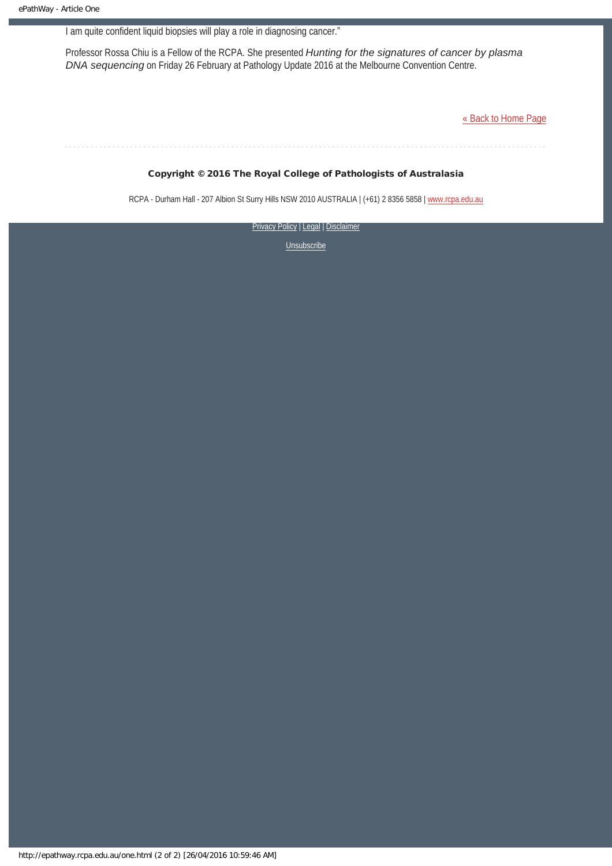I am quite confident liquid biopsies will play a role in diagnosing cancer."

Professor Rossa Chiu is a Fellow of the RCPA. She presented *Hunting for the signatures of cancer by plasma DNA sequencing* on Friday 26 February at Pathology Update 2016 at the Melbourne Convention Centre.

[« Back to Home Page](http://epathway.rcpa.edu.au/index.html)

#### Copyright © 2016 The Royal College of Pathologists of Australasia

RCPA - Durham Hall - 207 Albion St Surry Hills NSW 2010 AUSTRALIA | (+61) 2 8356 5858 | [www.rcpa.edu.au](https://www.rcpa.edu.au/)

**[Privacy Policy](https://www.rcpa.edu.au/Content-Library/Privacy.aspx) | [Legal](https://www.rcpa.edu.au/Legal.aspx) | Disclaimer**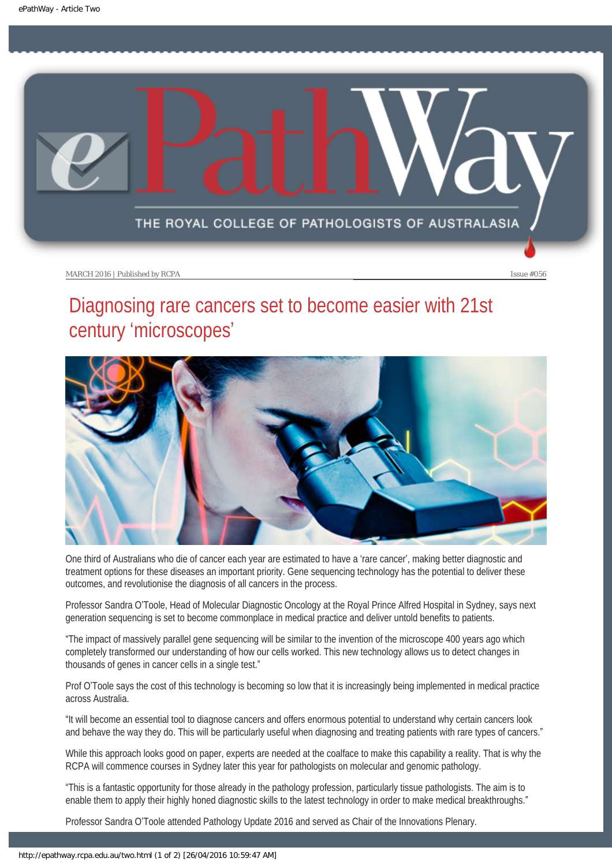<span id="page-9-0"></span>

## Diagnosing rare cancers set to become easier with 21st century 'microscopes'



One third of Australians who die of cancer each year are estimated to have a 'rare cancer', making better diagnostic and treatment options for these diseases an important priority. Gene sequencing technology has the potential to deliver these outcomes, and revolutionise the diagnosis of all cancers in the process.

Professor Sandra O'Toole, Head of Molecular Diagnostic Oncology at the Royal Prince Alfred Hospital in Sydney, says next generation sequencing is set to become commonplace in medical practice and deliver untold benefits to patients.

"The impact of massively parallel gene sequencing will be similar to the invention of the microscope 400 years ago which completely transformed our understanding of how our cells worked. This new technology allows us to detect changes in thousands of genes in cancer cells in a single test."

Prof O'Toole says the cost of this technology is becoming so low that it is increasingly being implemented in medical practice across Australia.

"It will become an essential tool to diagnose cancers and offers enormous potential to understand why certain cancers look and behave the way they do. This will be particularly useful when diagnosing and treating patients with rare types of cancers."

While this approach looks good on paper, experts are needed at the coalface to make this capability a reality. That is why the RCPA will commence courses in Sydney later this year for pathologists on molecular and genomic pathology.

"This is a fantastic opportunity for those already in the pathology profession, particularly tissue pathologists. The aim is to enable them to apply their highly honed diagnostic skills to the latest technology in order to make medical breakthroughs."

Professor Sandra O'Toole attended Pathology Update 2016 and served as Chair of the Innovations Plenary.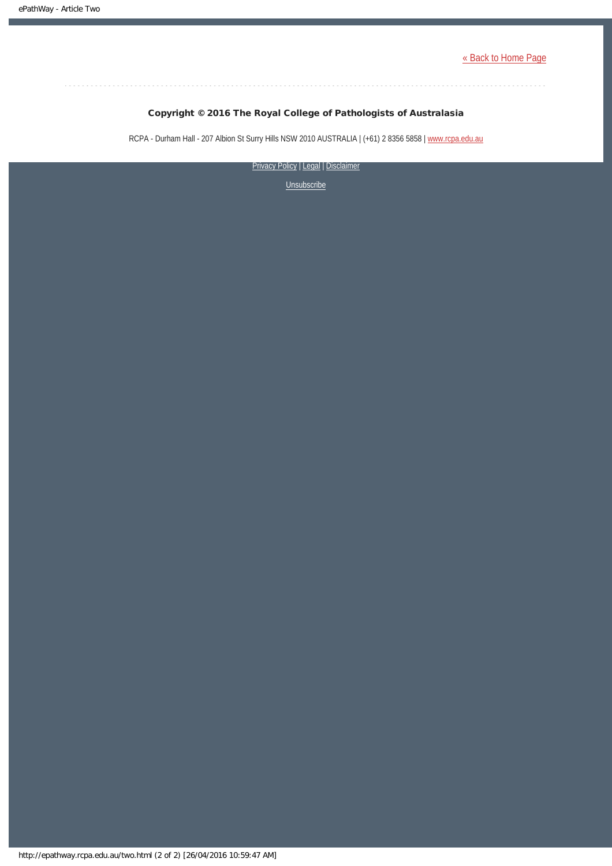[« Back to Home Page](http://epathway.rcpa.edu.au/index.html)

. . . . . . . . . . . . . . . . . .

#### Copyright © 2016 The Royal College of Pathologists of Australasia

RCPA - Durham Hall - 207 Albion St Surry Hills NSW 2010 AUSTRALIA | (+61) 2 8356 5858 | [www.rcpa.edu.au](https://www.rcpa.edu.au/)

[Privacy Policy](https://www.rcpa.edu.au/Content-Library/Privacy.aspx) | [Legal](https://www.rcpa.edu.au/Legal.aspx) | Disclaimer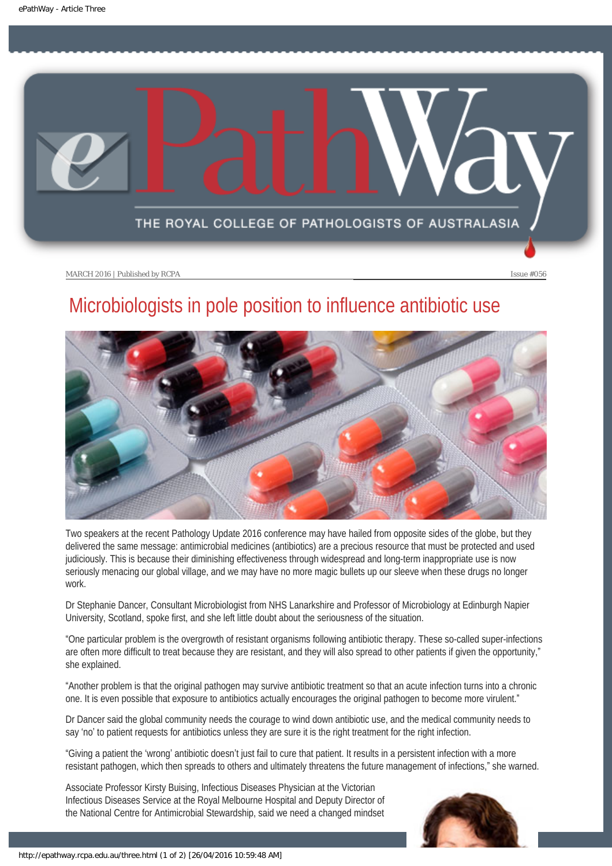<span id="page-11-0"></span>

# Microbiologists in pole position to influence antibiotic use



Two speakers at the recent Pathology Update 2016 conference may have hailed from opposite sides of the globe, but they delivered the same message: antimicrobial medicines (antibiotics) are a precious resource that must be protected and used judiciously. This is because their diminishing effectiveness through widespread and long-term inappropriate use is now seriously menacing our global village, and we may have no more magic bullets up our sleeve when these drugs no longer work.

Dr Stephanie Dancer, Consultant Microbiologist from NHS Lanarkshire and Professor of Microbiology at Edinburgh Napier University, Scotland, spoke first, and she left little doubt about the seriousness of the situation.

"One particular problem is the overgrowth of resistant organisms following antibiotic therapy. These so-called super-infections are often more difficult to treat because they are resistant, and they will also spread to other patients if given the opportunity," she explained.

"Another problem is that the original pathogen may survive antibiotic treatment so that an acute infection turns into a chronic one. It is even possible that exposure to antibiotics actually encourages the original pathogen to become more virulent."

Dr Dancer said the global community needs the courage to wind down antibiotic use, and the medical community needs to say 'no' to patient requests for antibiotics unless they are sure it is the right treatment for the right infection.

"Giving a patient the 'wrong' antibiotic doesn't just fail to cure that patient. It results in a persistent infection with a more resistant pathogen, which then spreads to others and ultimately threatens the future management of infections," she warned.

Associate Professor Kirsty Buising, Infectious Diseases Physician at the Victorian Infectious Diseases Service at the Royal Melbourne Hospital and Deputy Director of the National Centre for Antimicrobial Stewardship, said we need a changed mindset

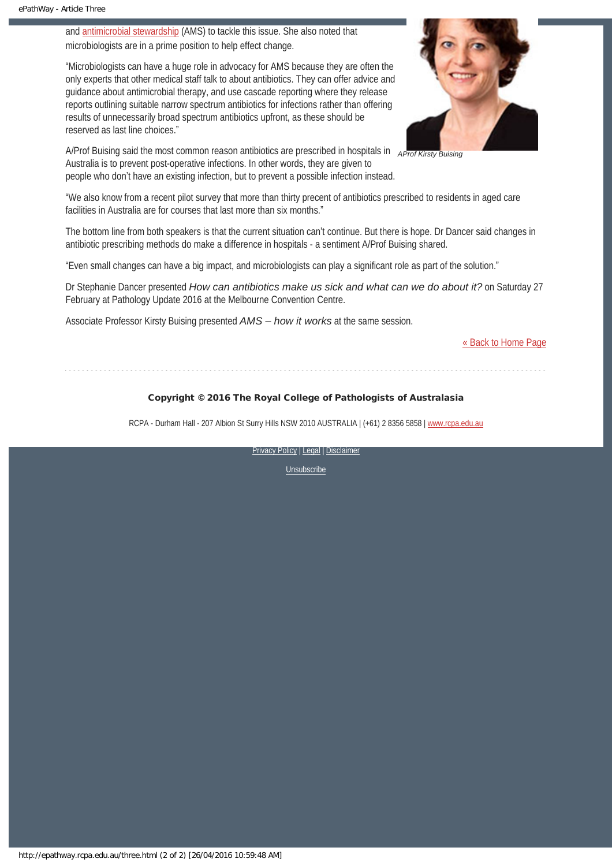and [antimicrobial stewardship](http://www.safetyandquality.gov.au/our-work/healthcare-associated-infection/antimicrobial-stewardship/) (AMS) to tackle this issue. She also noted that microbiologists are in a prime position to help effect change.

"Microbiologists can have a huge role in advocacy for AMS because they are often the only experts that other medical staff talk to about antibiotics. They can offer advice and guidance about antimicrobial therapy, and use cascade reporting where they release reports outlining suitable narrow spectrum antibiotics for infections rather than offering results of unnecessarily broad spectrum antibiotics upfront, as these should be reserved as last line choices."





"We also know from a recent pilot survey that more than thirty precent of antibiotics prescribed to residents in aged care facilities in Australia are for courses that last more than six months."

The bottom line from both speakers is that the current situation can't continue. But there is hope. Dr Dancer said changes in antibiotic prescribing methods do make a difference in hospitals - a sentiment A/Prof Buising shared.

"Even small changes can have a big impact, and microbiologists can play a significant role as part of the solution."

Dr Stephanie Dancer presented *How can antibiotics make us sick and what can we do about it?* on Saturday 27 February at Pathology Update 2016 at the Melbourne Convention Centre.

Associate Professor Kirsty Buising presented *AMS – how it works* at the same session.

[« Back to Home Page](http://epathway.rcpa.edu.au/index.html)

#### Copyright © 2016 The Royal College of Pathologists of Australasia

RCPA - Durham Hall - 207 Albion St Surry Hills NSW 2010 AUSTRALIA | (+61) 2 8356 5858 | [www.rcpa.edu.au](https://www.rcpa.edu.au/)

[Privacy Policy](https://www.rcpa.edu.au/Content-Library/Privacy.aspx) | [Legal](https://www.rcpa.edu.au/Legal.aspx) | [Disclaimer](https://www.rcpa.edu.au/Disclaimer.aspx)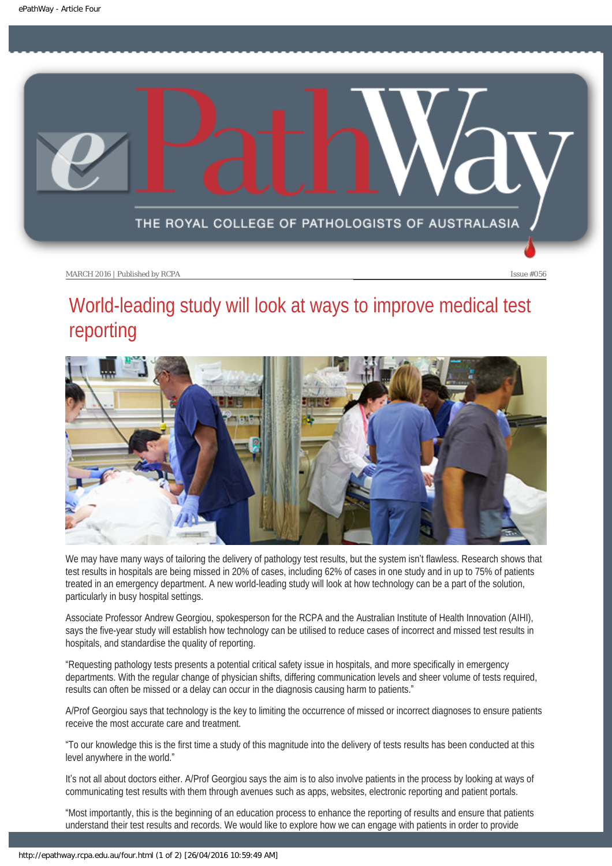<span id="page-13-0"></span>

# World-leading study will look at ways to improve medical test reporting



We may have many ways of tailoring the delivery of pathology test results, but the system isn't flawless. Research shows that test results in hospitals are being missed in 20% of cases, including 62% of cases in one study and in up to 75% of patients treated in an emergency department. A new world-leading study will look at how technology can be a part of the solution, particularly in busy hospital settings.

Associate Professor Andrew Georgiou, spokesperson for the RCPA and the Australian Institute of Health Innovation (AIHI), says the five-year study will establish how technology can be utilised to reduce cases of incorrect and missed test results in hospitals, and standardise the quality of reporting.

"Requesting pathology tests presents a potential critical safety issue in hospitals, and more specifically in emergency departments. With the regular change of physician shifts, differing communication levels and sheer volume of tests required, results can often be missed or a delay can occur in the diagnosis causing harm to patients."

A/Prof Georgiou says that technology is the key to limiting the occurrence of missed or incorrect diagnoses to ensure patients receive the most accurate care and treatment.

"To our knowledge this is the first time a study of this magnitude into the delivery of tests results has been conducted at this level anywhere in the world."

It's not all about doctors either. A/Prof Georgiou says the aim is to also involve patients in the process by looking at ways of communicating test results with them through avenues such as apps, websites, electronic reporting and patient portals.

"Most importantly, this is the beginning of an education process to enhance the reporting of results and ensure that patients understand their test results and records. We would like to explore how we can engage with patients in order to provide